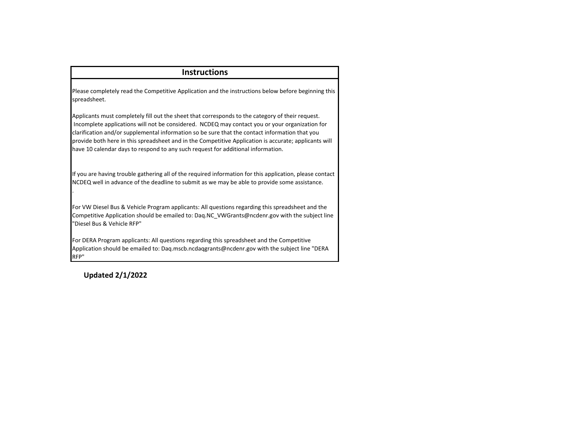## **Instructions**

Please completely read the Competitive Application and the instructions below before beginning this spreadsheet.

Applicants must completely fill out the sheet that corresponds to the category of their request. Incomplete applications will not be considered. NCDEQ may contact you or your organization for clarification and/or supplemental information so be sure that the contact information that you provide both here in this spreadsheet and in the Competitive Application is accurate; applicants will have 10 calendar days to respond to any such request for additional information.

If you are having trouble gathering all of the required information for this application, please contact NCDEQ well in advance of the deadline to submit as we may be able to provide some assistance.

For VW Diesel Bus & Vehicle Program applicants: All questions regarding this spreadsheet and the Competitive Application should be emailed to: Daq.NC\_VWGrants@ncdenr.gov with the subject line "Diesel Bus & Vehicle RFP"

For DERA Program applicants: All questions regarding this spreadsheet and the Competitive Application should be emailed to: Daq.mscb.ncdaqgrants@ncdenr.gov with the subject line "DERA RFP"

**Updated 2/1/2022**